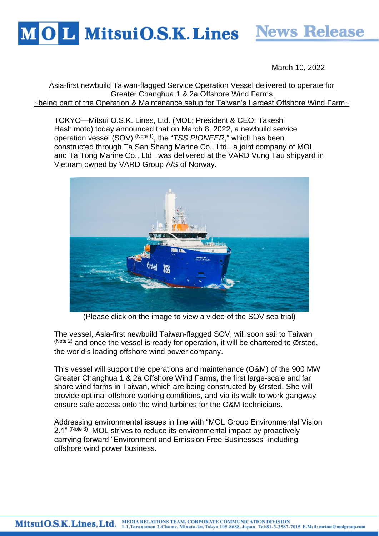

March 10, 2022

Asia-first newbuild Taiwan-flagged Service Operation Vessel delivered to operate for Greater Changhua 1 & 2a Offshore Wind Farms ~being part of the Operation & Maintenance setup for Taiwan's Largest Offshore Wind Farm~

TOKYO—Mitsui O.S.K. Lines, Ltd. (MOL; President & CEO: Takeshi Hashimoto) today announced that on March 8, 2022, a newbuild service operation vessel (SOV) (Note 1), the "*TSS PIONEER*," which has been constructed through Ta San Shang Marine Co., Ltd., a joint company of MOL and Ta Tong Marine Co., Ltd., was delivered at the VARD Vung Tau shipyard in Vietnam owned by VARD Group A/S of Norway.



(Please click on the image to view a video of the SOV sea trial)

The vessel, Asia-first newbuild Taiwan-flagged SOV, will soon sail to Taiwan  $(N^{10}$  and once the vessel is ready for operation, it will be chartered to Ørsted, the world's leading offshore wind power company.

This vessel will support the operations and maintenance (O&M) of the 900 MW Greater Changhua 1 & 2a Offshore Wind Farms, the first large-scale and far shore wind farms in Taiwan, which are being constructed by Ørsted. She will provide optimal offshore working conditions, and via its walk to work gangway ensure safe access onto the wind turbines for the O&M technicians.

Addressing environmental issues in line with "MOL Group Environmental Vision 2.1" (Note 3), MOL strives to reduce its environmental impact by proactively carrying forward "Environment and Emission Free Businesses" including offshore wind power business.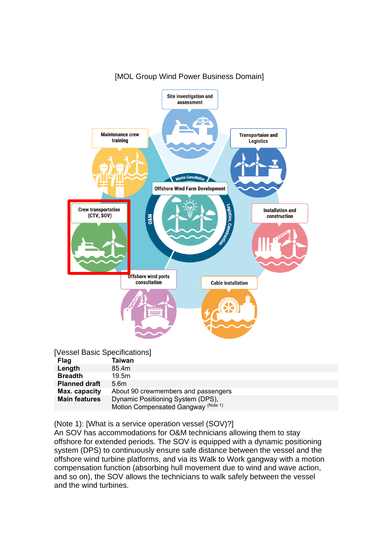

## [MOL Group Wind Power Business Domain]

| [Vessel Basic Specifications] |
|-------------------------------|
| T-1                           |

| <b>Flag</b>          | Taiwan                              |
|----------------------|-------------------------------------|
| Length               | 85.4m                               |
| <b>Breadth</b>       | 19.5m                               |
| <b>Planned draft</b> | 5.6 <sub>m</sub>                    |
| Max. capacity        | About 90 crewmembers and passengers |
| <b>Main features</b> | Dynamic Positioning System (DPS),   |
|                      | Motion Compensated Gangway (Note 1) |

(Note 1): [What is a service operation vessel (SOV)?]

An SOV has accommodations for O&M technicians allowing them to stay offshore for extended periods. The SOV is equipped with a dynamic positioning system (DPS) to continuously ensure safe distance between the vessel and the offshore wind turbine platforms, and via its Walk to Work gangway with a motion compensation function (absorbing hull movement due to wind and wave action, and so on), the SOV allows the technicians to walk safely between the vessel and the wind turbines.